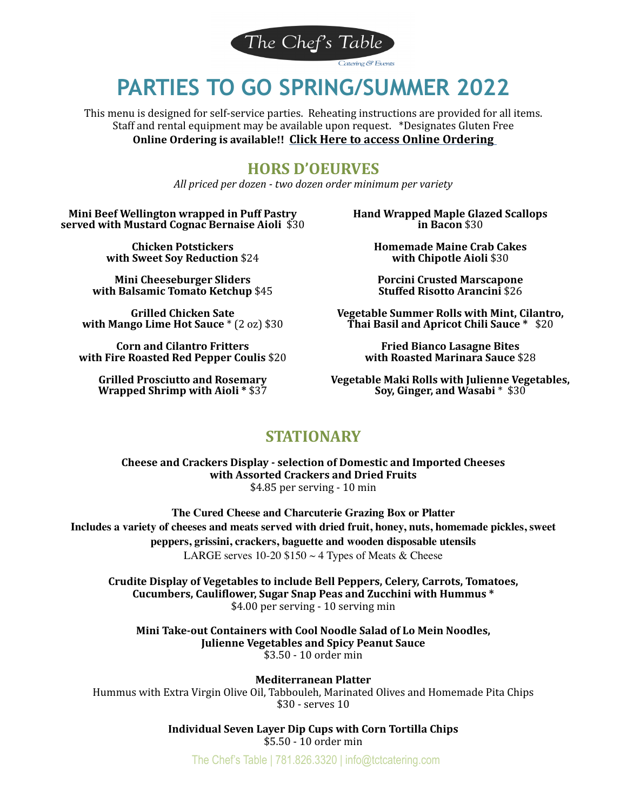

# **PARTIES TO GO SPRING/SUMMER 2022**

This menu is designed for self-service parties. Reheating instructions are provided for all items. Staff and rental equipment may be available upon request. \*Designates Gluten Free **Online Ordering is available!! Click Here to access Online Ordering** 

# **HORS D'OEURVES**

*All priced per dozen - two dozen order minimum per variety*

**Mini Beef Wellington wrapped in Puff Pastry served with Mustard Cognac Bernaise Aioli** \$30

> **Chicken Potstickers with Sweet Soy Reduction** \$24

**Mini Cheeseburger Sliders with Balsamic Tomato Ketchup** \$45

**Grilled Chicken Sate with Mango Lime Hot Sauce** \* (2 oz) \$30

**Corn and Cilantro Fritters with Fire Roasted Red Pepper Coulis** \$20

**Grilled Prosciutto and Rosemary Wrapped Shrimp with Aioli \* \$37** 

**Hand Wrapped Maple Glazed Scallops in Bacon** \$30 

> **Homemade Maine Crab Cakes with Chipotle Aioli \$30**

**Porcini Crusted Marscapone Stuffed Risotto Arancini** \$26

**Vegetable Summer Rolls with Mint, Cilantro, Thai Basil and Apricot Chili Sauce \* \$20** 

> **Fried Bianco Lasagne Bites with Roasted Marinara Sauce \$28**

**Vegetable Maki Rolls with Julienne Vegetables, Soy, Ginger, and Wasabi**  $*$  \$30

# **STATIONARY**

**Cheese and Crackers Display - selection of Domestic and Imported Cheeses with Assorted Crackers and Dried Fruits** \$4.85 per serving - 10 min

**The Cured Cheese and Charcuterie Grazing Box or Platter Includes a variety of cheeses and meats served with dried fruit, honey, nuts, homemade pickles, sweet peppers, grissini, crackers, baguette and wooden disposable utensils**  LARGE serves 10-20  $$150 \sim 4$  Types of Meats & Cheese

Crudite Display of Vegetables to include Bell Peppers, Celery, Carrots, Tomatoes, Cucumbers, Cauliflower, Sugar Snap Peas and Zucchini with Hummus \* \$4.00 per serving - 10 serving min

Mini Take-out Containers with Cool Noodle Salad of Lo Mein Noodles, **Julienne Vegetables and Spicy Peanut Sauce** \$3.50 - 10 order min

**Mediterranean Platter**  Hummus with Extra Virgin Olive Oil, Tabbouleh, Marinated Olives and Homemade Pita Chips \$30 - serves 10

> **Individual Seven Layer Dip Cups with Corn Tortilla Chips** \$5.50 - 10 order min

The Chef's Table | 781.826.3320 | info@tctcatering.com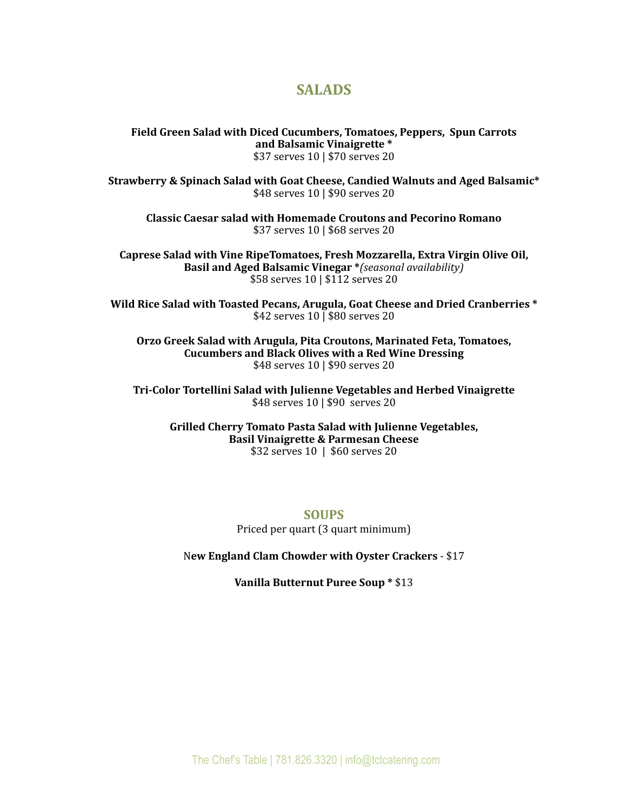# **SALADS**

**Field Green Salad with Diced Cucumbers, Tomatoes, Peppers, Spun Carrots** and Balsamic Vinaigrette \* \$37 serves 10 | \$70 serves 20

**Strawberry & Spinach Salad with Goat Cheese, Candied Walnuts and Aged Balsamic\*** \$48 serves 10 | \$90 serves 20

**Classic Caesar salad with Homemade Croutons and Pecorino Romano** \$37 serves 10 | \$68 serves 20

Caprese Salad with Vine RipeTomatoes, Fresh Mozzarella, Extra Virgin Olive Oil, **Basil and Aged Balsamic Vinegar \****(seasonal availability)* \$58 serves 10 | \$112 serves 20

Wild Rice Salad with Toasted Pecans, Arugula, Goat Cheese and Dried Cranberries \* \$42 serves 10 | \$80 serves 20

**Orzo Greek Salad with Arugula, Pita Croutons, Marinated Feta, Tomatoes, Cucumbers and Black Olives with a Red Wine Dressing** \$48 serves 10 | \$90 serves 20

**Tri-Color Tortellini Salad with Julienne Vegetables and Herbed Vinaigrette** \$48 serves 10 | \$90 serves 20

Grilled Cherry Tomato Pasta Salad with Julienne Vegetables, **Basil Vinaigrette & Parmesan Cheese** \$32 serves 10 | \$60 serves 20

> **SOUPS** Priced per quart (3 quart minimum)

New England Clam Chowder with Oyster Crackers - \$17

**Vanilla Butternut Puree Soup \* \$13**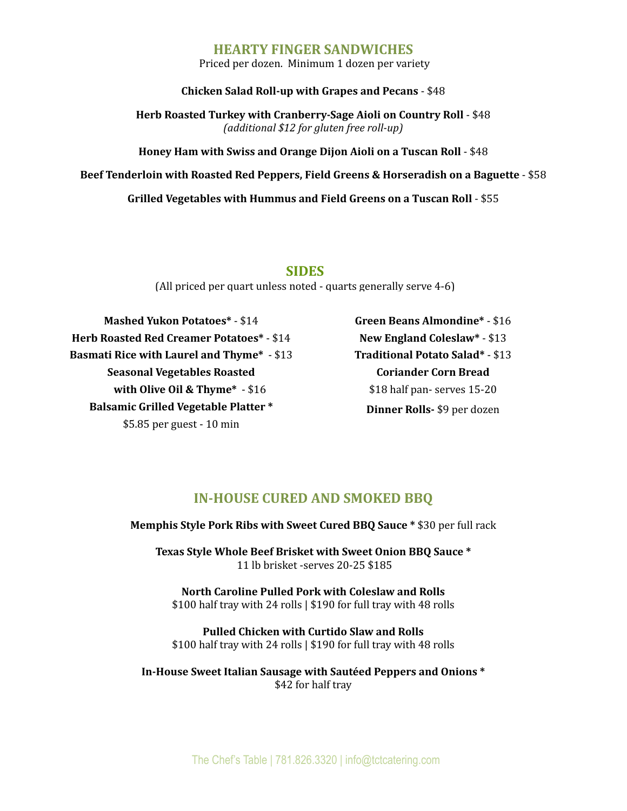## **HEARTY FINGER SANDWICHES**

Priced per dozen. Minimum 1 dozen per variety

#### **Chicken Salad Roll-up with Grapes and Pecans - \$48**

**Herb Roasted Turkey with Cranberry-Sage Aioli on Country Roll - \$48** *(additional \$12 for gluten free roll-up)*

**Honey Ham with Swiss and Orange Dijon Aioli on a Tuscan Roll - \$48** 

**Beef Tenderloin with Roasted Red Peppers, Field Greens & Horseradish on a Baguette** - \$58

**Grilled Vegetables with Hummus and Field Greens on a Tuscan Roll** - \$55

#### **SIDES**

(All priced per quart unless noted - quarts generally serve  $4-6$ )

**Mashed Yukon Potatoes\*** - \$14 **Herb Roasted Red Creamer Potatoes\*** - \$14 **Basmati Rice with Laurel and Thyme\*** - \$13 **Seasonal Vegetables Roasted with Olive Oil & Thyme\*** - \$16 **Balsamic Grilled Vegetable Platter \***  $$5.85$  per guest - 10 min

**Green Beans Almondine\*** - \$16 **New England Coleslaw\*** - \$13 **Traditional Potato Salad\*** - \$13 **Coriander Corn Bread** \$18 half pan- serves 15-20 **Dinner Rolls-** \$9 per dozen

# **IN-HOUSE CURED AND SMOKED BBO**

**Memphis Style Pork Ribs with Sweet Cured BBQ Sauce \* \$30 per full rack** 

Texas Style Whole Beef Brisket with Sweet Onion BBO Sauce \* 11 lb brisket -serves 20-25 \$185

**North Caroline Pulled Pork with Coleslaw and Rolls**  $$100$  half tray with 24 rolls  $|$190$  for full tray with 48 rolls

**Pulled Chicken with Curtido Slaw and Rolls**  $$100$  half tray with 24 rolls  $|$190$  for full tray with 48 rolls

In-House Sweet Italian Sausage with Sautéed Peppers and Onions \* \$42 for half tray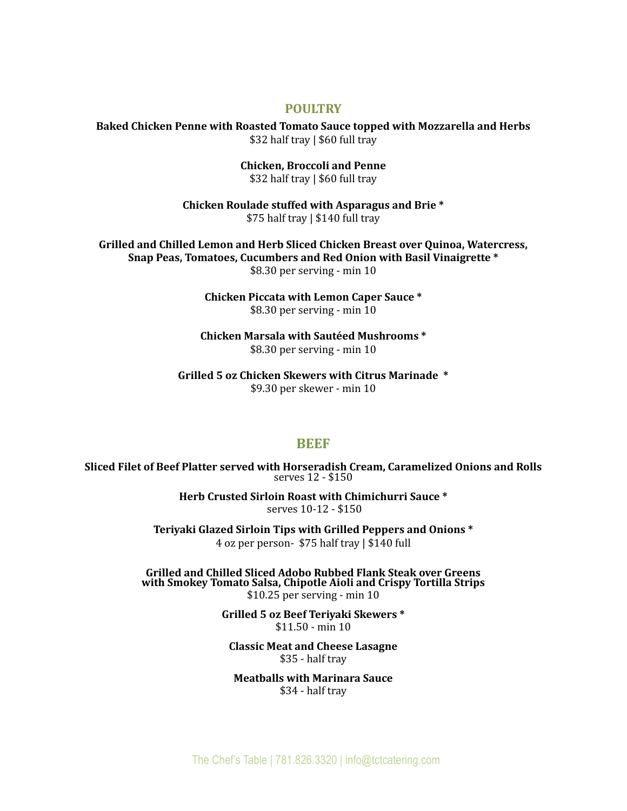#### **POULTRY**

**Baked Chicken Penne with Roasted Tomato Sauce topped with Mozzarella and Herbs** \$32 half tray | \$60 full tray

> **Chicken, Broccoli and Penne**  $$32$  half tray  $| $60$  full tray

Chicken Roulade stuffed with Asparagus and Brie<sup>\*</sup>  $$75$  half tray  $\mid $140$  full tray

Grilled and Chilled Lemon and Herb Sliced Chicken Breast over Quinoa, Watercress, Snap Peas, Tomatoes, Cucumbers and Red Onion with Basil Vinaigrette \*  $$8.30$  per serving - min 10

> **Chicken Piccata with Lemon Caper Sauce \*** \$8.30 per serving - min 10

**Chicken Marsala with Sautéed Mushrooms \*** \$8.30 per serving - min 10

Grilled 5 oz Chicken Skewers with Citrus Marinade  $*$ \$9.30 per skewer - min 10

#### **BEEF**

**Sliced Filet of Beef Platter served with Horseradish Cream, Caramelized Onions and Rolls**<br>serves 12 - \$150

Herb Crusted Sirloin Roast with Chimichurri Sauce \* serves 10-12 - \$150

Teriyaki Glazed Sirloin Tips with Grilled Peppers and Onions \* 4 oz per person- \$75 half tray | \$140 full

**Grilled and Chilled Sliced Adobo Rubbed Flank Steak over Greens with Smokey Tomato Salsa, Chipotle Aioli and Crispy Tortilla Strips**  $$10.25$  per serving - min 10

> Grilled 5 oz Beef Teriyaki Skewers \*  $$11.50 - min 10$

**Classic Meat and Cheese Lasagne**  $$35$  - half tray

**Meatballs with Marinara Sauce** \$34 - half tray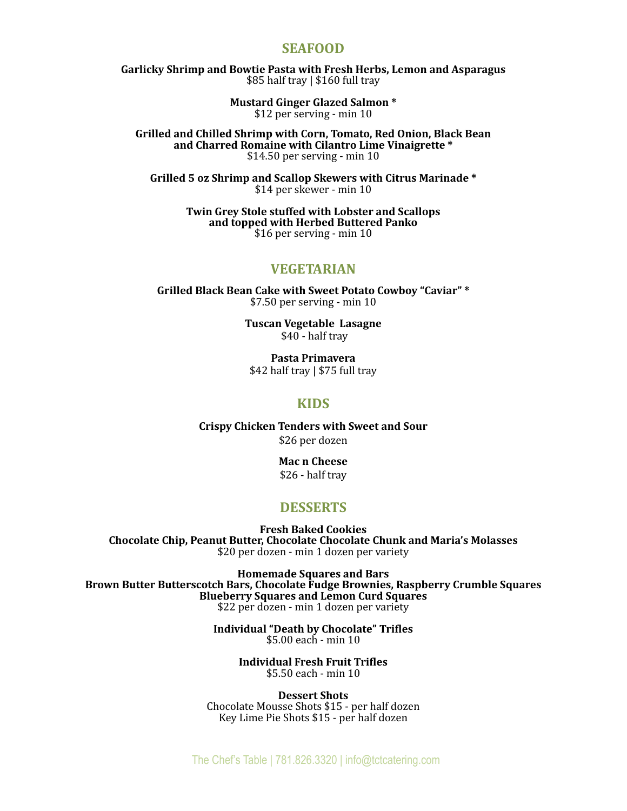## **SEAFOOD**

Garlicky Shrimp and Bowtie Pasta with Fresh Herbs, Lemon and Asparagus  $$85$  half tray  $|$160$  full tray

> **Mustard Ginger Glazed Salmon \*** \$12 per serving - min 10

Grilled and Chilled Shrimp with Corn, Tomato, Red Onion, Black Bean and Charred Romaine with Cilantro Lime Vinaigrette \*  $$14.50$  per serving - min 10

Grilled 5 oz Shrimp and Scallop Skewers with Citrus Marinade \* \$14 per skewer - min 10

> **Twin Grey Stole stuffed with Lobster and Scallops** and topped with Herbed Buttered Panko \$16 per serving - min 10

## **VEGETARIAN**

Grilled Black Bean Cake with Sweet Potato Cowboy "Caviar" \*  $$7.50$  per serving - min 10

> **Tuscan Vegetable Lasagne** \$40 - half tray

**Pasta Primavera**   $$42$  half tray  $| $75$  full tray

#### **KIDS**

**Crispy Chicken Tenders with Sweet and Sour** \$26 per dozen

> **Mac n Cheese**  $$26$  - half tray

# **DESSERTS**

**Fresh Baked Cookies Chocolate Chip, Peanut Butter, Chocolate Chocolate Chunk and Maria's Molasses** \$20 per dozen - min 1 dozen per variety

**Homemade Squares and Bars Brown Butter Butterscotch Bars, Chocolate Fudge Brownies, Raspberry Crumble Squares Blueberry Squares and Lemon Curd Squares** \$22 per dozen - min 1 dozen per variety

> **Individual "Death by Chocolate" Trifles**  $$5.00$  each - min 10

> > **Individual Fresh Fruit Trifles**   $$5.50$  each - min 10

**Dessert Shots** Chocolate Mousse Shots \$15 - per half dozen Key Lime Pie Shots \$15 - per half dozen